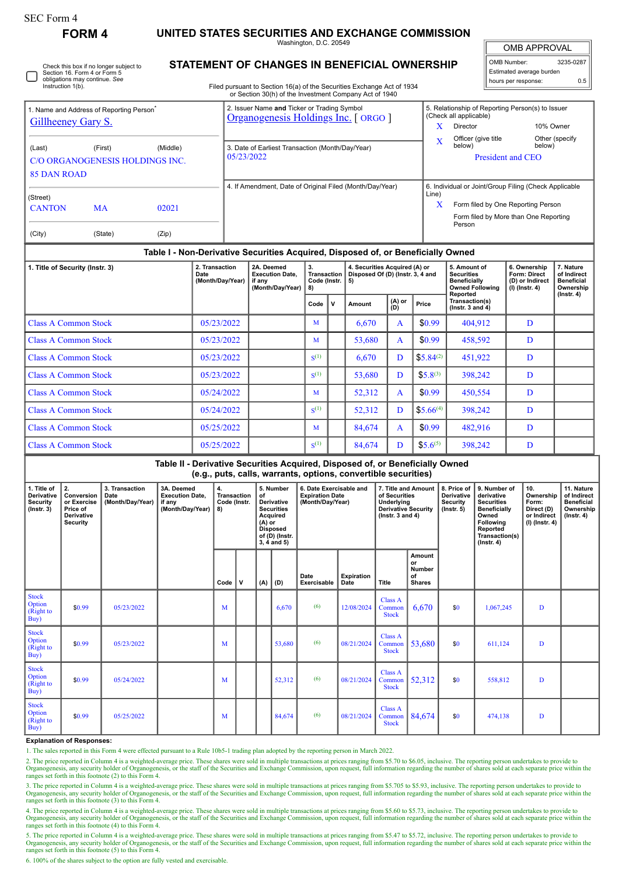П

## **FORM 4 UNITED STATES SECURITIES AND EXCHANGE COMMISSION**

Washington, D.C. 20549

OMB APPROVAL OMB Number: 3235-0287 Estimated average burden

hours per response: 0.5

| Check this box if no longer subject to<br>Section 16, Form 4 or Form 5 |
|------------------------------------------------------------------------|
| obligations may continue. See<br>Instruction 1(b).                     |

## **STATEMENT OF CHANGES IN BENEFICIAL OWNERSHIP**

Filed pursuant to Section 16(a) of the Securities Exchange Act of 1934 or Section 30(h) of the Investment Company Act of 1940

|                               | 1. Name and Address of Reporting Person <sup>®</sup> |                                 | 2. Issuer Name and Ticker or Trading Symbol<br>Organogenesis Holdings Inc. [ ORGO ] |                                                                | 5. Relationship of Reporting Person(s) to Issuer<br>(Check all applicable) |                          |  |  |  |
|-------------------------------|------------------------------------------------------|---------------------------------|-------------------------------------------------------------------------------------|----------------------------------------------------------------|----------------------------------------------------------------------------|--------------------------|--|--|--|
| Gillheeney Gary S.            |                                                      |                                 |                                                                                     | X                                                              | Director                                                                   | 10% Owner                |  |  |  |
| (First)<br>(Middle)<br>(Last) |                                                      |                                 | 3. Date of Earliest Transaction (Month/Day/Year)                                    | X                                                              | Officer (give title<br>below)                                              | Other (specify<br>below) |  |  |  |
|                               |                                                      | C/O ORGANOGENESIS HOLDINGS INC. | 05/23/2022                                                                          |                                                                | President and CEO                                                          |                          |  |  |  |
| 85 DAN ROAD                   |                                                      |                                 |                                                                                     |                                                                |                                                                            |                          |  |  |  |
|                               |                                                      |                                 | 4. If Amendment, Date of Original Filed (Month/Day/Year)                            | 6. Individual or Joint/Group Filing (Check Applicable<br>Line) |                                                                            |                          |  |  |  |
| (Street)<br><b>CANTON</b>     | <b>MA</b>                                            | 02021                           |                                                                                     | X                                                              | Form filed by One Reporting Person                                         |                          |  |  |  |
|                               |                                                      |                                 |                                                                                     |                                                                | Form filed by More than One Reporting<br>Person                            |                          |  |  |  |
| (City)                        | (State)                                              | (Zip)                           |                                                                                     |                                                                |                                                                            |                          |  |  |  |

## **Table I - Non-Derivative Securities Acquired, Disposed of, or Beneficially Owned**

| 1. Title of Security (Instr. 3) | 2. Transaction<br>Date<br>(Month/Day/Year) | 2A. Deemed<br><b>Execution Date.</b><br>if any<br>(Month/Day/Year)   8) | 3.<br><b>Transaction</b><br>Code (Instr. |   | 4. Securities Acquired (A) or<br>Disposed Of (D) (Instr. 3, 4 and<br>5) |               |               | 5. Amount of<br><b>Securities</b><br><b>Beneficially</b><br><b>Owned Following</b><br>Reported | 6. Ownership<br><b>Form: Direct</b><br>(D) or Indirect<br>(I) (Instr. 4) | 7. Nature<br>of Indirect<br><b>Beneficial</b><br>Ownership |
|---------------------------------|--------------------------------------------|-------------------------------------------------------------------------|------------------------------------------|---|-------------------------------------------------------------------------|---------------|---------------|------------------------------------------------------------------------------------------------|--------------------------------------------------------------------------|------------------------------------------------------------|
|                                 |                                            |                                                                         | Code                                     | v | Amount                                                                  | (A) or<br>(D) | Price         | Transaction(s)<br>$($ lnstr. 3 and 4 $)$                                                       |                                                                          | $($ Instr. 4 $)$                                           |
| <b>Class A Common Stock</b>     | 05/23/2022                                 |                                                                         | M                                        |   | 6,670                                                                   | A             | \$0.99        | 404,912                                                                                        | D                                                                        |                                                            |
| <b>Class A Common Stock</b>     | 05/23/2022                                 |                                                                         | M                                        |   | 53,680                                                                  | A             | \$0.99        | 458,592                                                                                        | D                                                                        |                                                            |
| <b>Class A Common Stock</b>     | 05/23/2022                                 |                                                                         | $\mathbf{S}^{(1)}$                       |   | 6,670                                                                   | D             | $$5.84^{(2)}$ | 451,922                                                                                        | D                                                                        |                                                            |
| <b>Class A Common Stock</b>     | 05/23/2022                                 |                                                                         | $\mathbf{S}^{(1)}$                       |   | 53,680                                                                  | D             | $$5.8^{(3)}$  | 398,242                                                                                        | D                                                                        |                                                            |
| <b>Class A Common Stock</b>     | 05/24/2022                                 |                                                                         | M                                        |   | 52,312                                                                  | A             | \$0.99        | 450,554                                                                                        | D                                                                        |                                                            |
| <b>Class A Common Stock</b>     | 05/24/2022                                 |                                                                         | $\mathbf{S}^{(1)}$                       |   | 52,312                                                                  | D             | $$5.66^{(4)}$ | 398,242                                                                                        | D                                                                        |                                                            |
| <b>Class A Common Stock</b>     | 05/25/2022                                 |                                                                         | M                                        |   | 84.674                                                                  | A             | \$0.99        | 482,916                                                                                        | D                                                                        |                                                            |
| <b>Class A Common Stock</b>     | 05/25/2022                                 |                                                                         | $S^{(1)}$                                |   | 84,674                                                                  | D             | $$5.6^{(5)}$  | 398,242                                                                                        | D                                                                        |                                                            |

**Table II - Derivative Securities Acquired, Disposed of, or Beneficially Owned (e.g., puts, calls, warrants, options, convertible securities)**

| 1. Title of<br><b>Derivative</b><br>Security<br>$($ lnstr. 3 $)$ | 2.<br>Conversion<br>or Exercise<br>Price of<br><b>Derivative</b><br><b>Security</b> | 3. Transaction<br>Date<br>(Month/Day/Year) | 3A. Deemed<br><b>Execution Date,</b><br>if any<br>(Month/Day/Year) | $\overline{4}$ .<br>Transaction<br>Code (Instr.<br>8) |   | of<br>$(A)$ or | 5. Number<br><b>Derivative</b><br><b>Securities</b><br>Acquired<br><b>Disposed</b><br>of (D) (Instr.<br>$3, 4$ and $5)$ | 6. Date Exercisable and<br><b>Expiration Date</b><br>(Month/Day/Year) |                           | 7. Title and Amount<br>of Securities<br>Underlying<br><b>Derivative Security</b><br>$($ Instr. 3 and 4 $)$ |                                                      | 8. Price of<br><b>Derivative</b><br><b>Security</b><br>$($ lnstr. 5 $)$ | 9. Number of<br>derivative<br><b>Securities</b><br>Beneficially<br>Owned<br>Following<br>Reported<br>Transaction(s)<br>$($ Instr. 4 $)$ | 10.<br>Ownership<br>Form:<br>Direct (D)<br>or Indirect<br>(I) (Instr. 4) | 11. Nature<br>of Indirect<br><b>Beneficial</b><br>Ownership<br>$($ lnstr. 4 $)$ |
|------------------------------------------------------------------|-------------------------------------------------------------------------------------|--------------------------------------------|--------------------------------------------------------------------|-------------------------------------------------------|---|----------------|-------------------------------------------------------------------------------------------------------------------------|-----------------------------------------------------------------------|---------------------------|------------------------------------------------------------------------------------------------------------|------------------------------------------------------|-------------------------------------------------------------------------|-----------------------------------------------------------------------------------------------------------------------------------------|--------------------------------------------------------------------------|---------------------------------------------------------------------------------|
|                                                                  |                                                                                     |                                            |                                                                    | Code                                                  | v | (A)            | (D)                                                                                                                     | Date<br>Exercisable                                                   | <b>Expiration</b><br>Date | Title                                                                                                      | Amount<br>or<br><b>Number</b><br>οf<br><b>Shares</b> |                                                                         |                                                                                                                                         |                                                                          |                                                                                 |
| <b>Stock</b><br>Option<br>(Right to<br>Buy)                      | \$0.99                                                                              | 05/23/2022                                 |                                                                    | M                                                     |   |                | 6,670                                                                                                                   | (6)                                                                   | 12/08/2024                | Class A<br>Common<br><b>Stock</b>                                                                          | 6,670                                                | \$0                                                                     | 1,067,245                                                                                                                               | D                                                                        |                                                                                 |
| <b>Stock</b><br>Option<br>(Right to<br>Buy)                      | \$0.99                                                                              | 05/23/2022                                 |                                                                    | M                                                     |   |                | 53,680                                                                                                                  | (6)                                                                   | 08/21/2024                | Class A<br>Common<br><b>Stock</b>                                                                          | 53,680                                               | \$0                                                                     | 611.124                                                                                                                                 | D                                                                        |                                                                                 |
| <b>Stock</b><br>Option<br>(Right to<br>Buy)                      | \$0.99                                                                              | 05/24/2022                                 |                                                                    | M                                                     |   |                | 52,312                                                                                                                  | (6)                                                                   | 08/21/2024                | Class A<br>Common<br><b>Stock</b>                                                                          | 52,312                                               | \$0                                                                     | 558,812                                                                                                                                 | D                                                                        |                                                                                 |
| <b>Stock</b><br>Option<br>(Right to<br>Buy)                      | \$0.99                                                                              | 05/25/2022                                 |                                                                    | M                                                     |   |                | 84,674                                                                                                                  | (6)                                                                   | 08/21/2024                | Class A<br>Common<br><b>Stock</b>                                                                          | 84,674                                               | \$0                                                                     | 474,138                                                                                                                                 | D                                                                        |                                                                                 |

## **Explanation of Responses:**

1. The sales reported in this Form 4 were effected pursuant to a Rule 10b5-1 trading plan adopted by the reporting person in March 2022.

2. The price reported in Column 4 is a weighted-average price. These shares were sold in multiple transactions at prices ranging from \$5.70 to \$6.05, inclusive. The reporting person undertakes to provide to provide to prov ranges set forth in this footnote (2) to this Form 4.

3. The price reported in Column 4 is a weighted-average price. These shares were sold in multiple transactions at prices ranging from \$5.705 to \$5.93, inclusive. The reporting person undertakes to provide to Organogenesis, any security holder of Organogenesis, or the staff of the Securities and Exchange Commission, upon request, full information regarding the number of shares sold at each separate price within the ranges set f

4. The price reported in Column 4 is a weighted-average price. These shares were sold in multiple transactions at prices ranging from \$5.60 to \$5.73, inclusive. The reporting person undertakes to provide to Organogenesis, any security holder of Organogenesis, or the staff of the Securities and Exchange Commission, upon request, full information regarding the number of shares sold at each separate price within the ranges set forth in this footnote (4) to this Form 4.

5. The price reported in Column 4 is a weighted-average price. These shares were sold in multiple transactions at prices ranging from \$5.47 to \$5.72, inclusive. The reporting person undertakes to provide to Organogenesis, any security holder of Organogenesis, or the staff of the Securities and Exchange Commission, upon request, full information regarding the number of shares sold at each separate price within the ranges set f

6. 100% of the shares subject to the option are fully vested and exercisable.